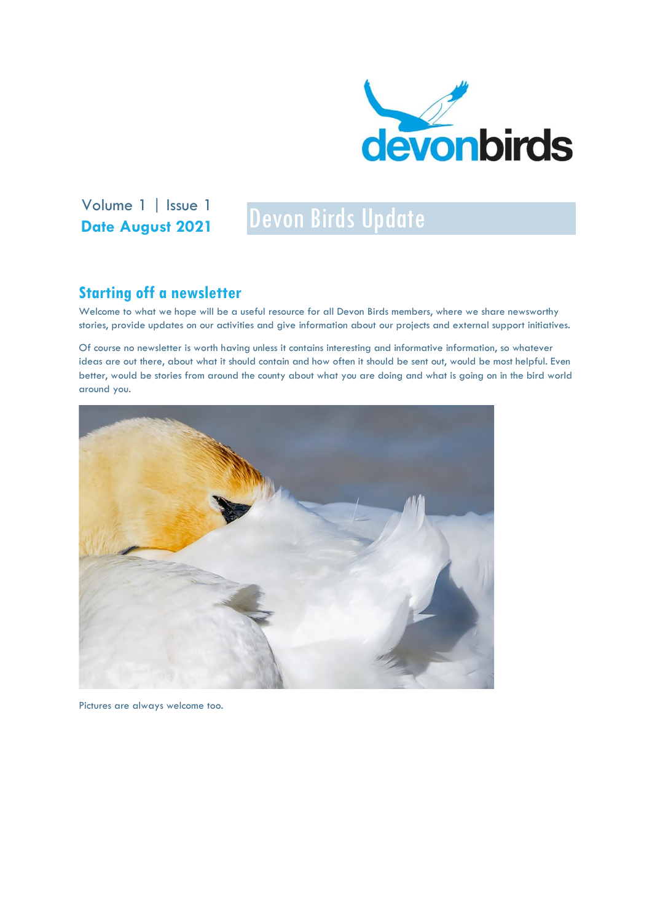

Volume 1 | Issue 1<br>Devon Birds Update **Date August 2021**

## **Starting off a newsletter**

Welcome to what we hope will be a useful resource for all Devon Birds members, where we share newsworthy stories, provide updates on our activities and give information about our projects and external support initiatives.

Of course no newsletter is worth having unless it contains interesting and informative information, so whatever ideas are out there, about what it should contain and how often it should be sent out, would be most helpful. Even better, would be stories from around the county about what you are doing and what is going on in the bird world around you.



Pictures are always welcome too.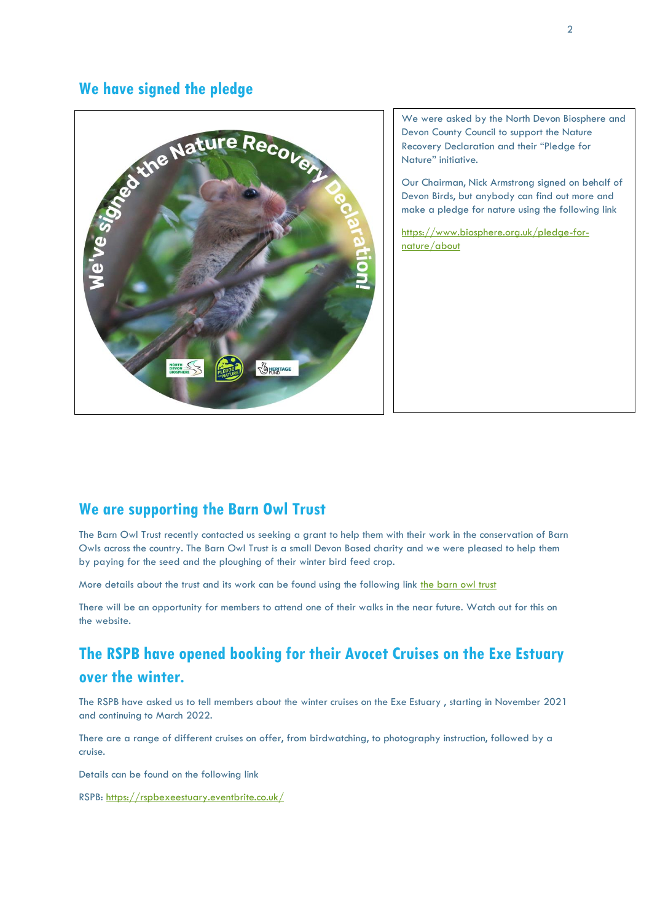### **We have signed the pledge**



We were asked by the North Devon Biosphere and Devon County Council to support the Nature Recovery Declaration and their "Pledge for Nature" initiative.

Our Chairman, Nick Armstrong signed on behalf of Devon Birds, but anybody can find out more and make a pledge for nature using the following link

[https://www.biosphere.org.uk/pledge-for](https://www.biosphere.org.uk/pledge-for-nature/about)[nature/about](https://www.biosphere.org.uk/pledge-for-nature/about)

## **We are supporting the Barn Owl Trust**

The Barn Owl Trust recently contacted us seeking a grant to help them with their work in the conservation of Barn Owls across the country. The Barn Owl Trust is a small Devon Based charity and we were pleased to help them by paying for the seed and the ploughing of their winter bird feed crop.

More details about the trust and its work can be found using the following link [the barn owl trust](http://www.barnowltrust.org.uk/)

There will be an opportunity for members to attend one of their walks in the near future. Watch out for this on the website.

# **The RSPB have opened booking for their Avocet Cruises on the Exe Estuary over the winter.**

The RSPB have asked us to tell members about the winter cruises on the Exe Estuary , starting in November 2021 and continuing to March 2022.

There are a range of different cruises on offer, from birdwatching, to photography instruction, followed by a cruise.

Details can be found on the following link

RSPB:<https://rspbexeestuary.eventbrite.co.uk/>